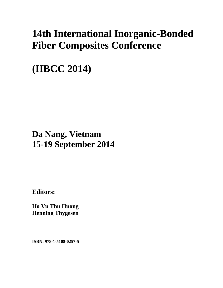# **14th International Inorganic-Bonded Fiber Composites Conference**

**(IIBCC 2014)** 

### **Da Nang, Vietnam 15-19 September 2014**

**Editors:** 

**Ho Vu Thu Huong Henning Thygesen** 

**ISBN: 978-1-5108-0257-5**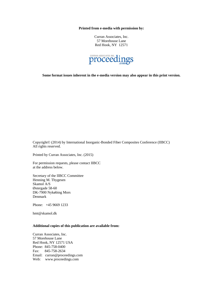**Printed from e-media with permission by:** 

Curran Associates, Inc. 57 Morehouse Lane Red Hook, NY 12571



**Some format issues inherent in the e-media version may also appear in this print version.** 

Copyright© (2014) by International Inorganic-Bonded Fiber Composites Conference (IIBCC) All rights reserved.

Printed by Curran Associates, Inc. (2015)

For permission requests, please contact IIBCC at the address below.

Secretary of the IIBCC Committee Henning M. Thygesen Skamol A/S Østergade 58-60 DK-7900 Nykøbing Mors Denmark

Phone: +45 9669 1233

hmt@skamol.dk

#### **Additional copies of this publication are available from:**

Curran Associates, Inc. 57 Morehouse Lane Red Hook, NY 12571 USA Phone: 845-758-0400 Fax: 845-758-2634 Email: curran@proceedings.com Web: www.proceedings.com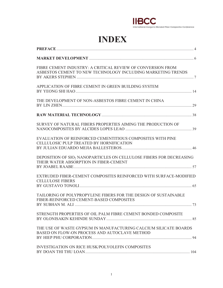

## **INDEX**

| FIBRE CEMENT INDUSTRY: A CRITICAL REVIEW OF CONVERSION FROM<br>ASBESTOS CEMENT TO NEW TECHNOLOGY INCLUDING MARKETING TRENDS |
|-----------------------------------------------------------------------------------------------------------------------------|
| APPLICATION OF FIBRE CEMENT IN GREEN BUILDING SYSTEM                                                                        |
| THE DEVELOPMENT OF NON-ASBESTOS FIBRE CEMENT IN CHINA                                                                       |
|                                                                                                                             |
| SURVEY OF NATURAL FIBERS PROPERTIES AIMING THE PRODUCTION OF                                                                |
| EVALUATION OF REINFORCED CEMENTITIOUS COMPOSITES WITH PINE<br>CELLULOSIC PULP TREATED BY HORNIFICATION                      |
| DEPOSITION OF SIO <sub>2</sub> NANOPARTICLES ON CELLULOSE FIBERS FOR DECREASING<br>THEIR WATER ABSORPTION IN FIBER-CEMENT   |
| EXTRUDED FIBER-CEMENT COMPOSITES REINFORCED WITH SURFACE-MODIFIED<br><b>CELLULOSE FIBERS</b>                                |
| TAILORING OF POLYPROPYLENE FIBERS FOR THE DESIGN OF SUSTAINABLE<br>FIBER-REINFORCED CEMENT-BASED COMPOSITES                 |
| STRENGTH PROPERTIES OF OIL PALM FIBRE CEMENT BONDED COMPOSITE                                                               |
| THE USE OF WASTE GYPSUM IN MANUFACTURING CALCIUM SILICATE BOARDS<br>BASED ON FLOW-ON PROCESS AND AUTOCLAVE METHOD           |
| INVESTIGATION ON RICE HUSK/POLYOLEFIN COMPOSITES                                                                            |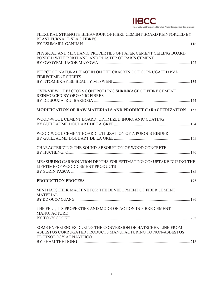#### **IIBCC** International Inorganic-Bonded Fiber Composites Conference

| FLEXURAL STRENGTH BEHAVIOUR OF FIBRE CEMENT BOARD REINFORCED BY<br><b>BLAST FURNACE SLAG FIBRES</b>                                                         |
|-------------------------------------------------------------------------------------------------------------------------------------------------------------|
| PHYSICAL AND MECHANIC PROPERTIES OF PAPER CEMENT CEILING BOARD<br>BONDED WITH PORTLAND AND PLASTER OF PARIS CEMENT                                          |
| EFFECT OF NATURAL KAOLIN ON THE CRACKING OF CORRUGATED PVA<br><b>FIBRECEMENT SHEETS</b>                                                                     |
| OVERVIEW OF FACTORS CONTROLLING SHRINKAGE OF FIBRE CEMENT<br>REINFORCED BY ORGANIC FIBRES                                                                   |
| <b>MODIFICATION OF RAW MATERIALS AND PRODUCT CARACTERIZATION  153</b>                                                                                       |
| WOOD-WOOL CEMENT BOARD: OPTIMIZED INORGANIC COATING                                                                                                         |
| WOOD-WOOL CEMENT BOARD: UTILIZATION OF A POROUS BINDER                                                                                                      |
| CHARACTERIZING THE SOUND ABSORPTION OF WOOD CONCRETE                                                                                                        |
| MEASURING CARBONATION DEPTHS FOR ESTIMATING CO2 UPTAKE DURING THE<br>LIFETIME OF WOOD-CEMENT PRODUCTS                                                       |
|                                                                                                                                                             |
| MINI HATSCHEK MACHINE FOR THE DEVELOPMENT OF FIBER CEMENT<br><b>MATERIAL</b>                                                                                |
| THE FELT, ITS PROPERTIES AND MODE OF ACTION IN FIBRE CEMENT<br><b>MANUFACTURE</b>                                                                           |
| SOME EXPERIENCES DURING THE CONVERSION OF HATSCHEK LINE FROM<br>ASBESTOS CORRUGATED PRODUCTS MANUFACTURING TO NON-ASBESTOS<br><b>TECHNOLOGY AT NAVIFICO</b> |
|                                                                                                                                                             |